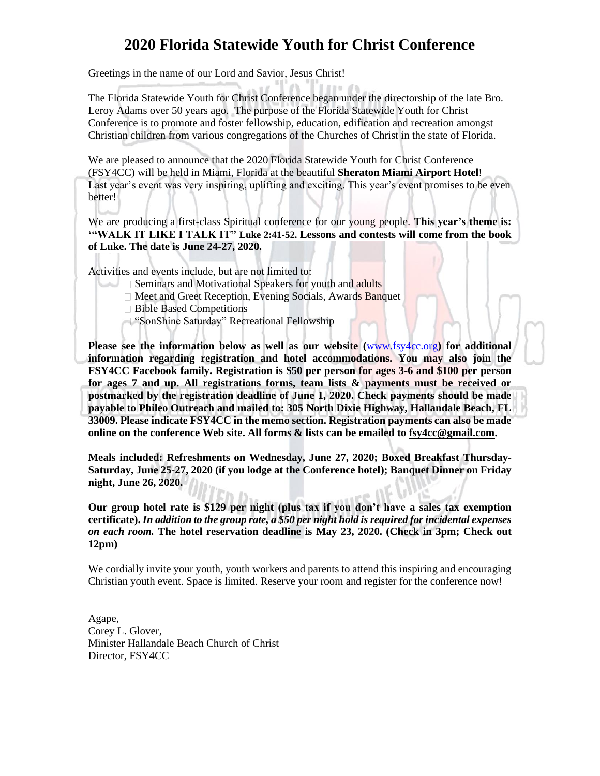### **2020 Florida Statewide Youth for Christ Conference**

Greetings in the name of our Lord and Savior, Jesus Christ!

The Florida Statewide Youth for Christ Conference began under the directorship of the late Bro. Leroy Adams over 50 years ago. The purpose of the Florida Statewide Youth for Christ Conference is to promote and foster fellowship, education, edification and recreation amongst Christian children from various congregations of the Churches of Christ in the state of Florida.

We are pleased to announce that the 2020 Florida Statewide Youth for Christ Conference (FSY4CC) will be held in Miami, Florida at the beautiful **Sheraton Miami Airport Hotel**! Last year's event was very inspiring, uplifting and exciting. This year's event promises to be even better!

We are producing a first-class Spiritual conference for our young people. **This year's theme is: '"WALK IT LIKE I TALK IT" Luke 2:41-52. Lessons and contests will come from the book of Luke. The date is June 24-27, 2020.**

Activities and events include, but are not limited to:

- $\square$  Seminars and Motivational Speakers for youth and adults
- □ Meet and Greet Reception, Evening Socials, Awards Banquet
- □ Bible Based Competitions
- □ "SonShine Saturday" Recreational Fellowship

**Please see the information below as well as our website (**[www.fsy4cc.org](http://www.fsy4cc.org/)**) for additional information regarding registration and hotel accommodations. You may also join the FSY4CC Facebook family. Registration is \$50 per person for ages 3-6 and \$100 per person for ages 7 and up. All registrations forms, team lists & payments must be received or postmarked by the registration deadline of June 1, 2020. Check payments should be made payable to Phileo Outreach and mailed to: 305 North Dixie Highway, Hallandale Beach, FL 33009. Please indicate FSY4CC in the memo section. Registration payments can also be made online on the conference Web site. All forms & lists can be emailed to fsy4cc@gmail.com.**

**Meals included: Refreshments on Wednesday, June 27, 2020; Boxed Breakfast Thursday-Saturday, June 25-27, 2020 (if you lodge at the Conference hotel); Banquet Dinner on Friday night, June 26, 2020.**

**Our group hotel rate is \$129 per night (plus tax if you don't have a sales tax exemption certificate).** *In addition to the group rate, a \$50 per night hold is required for incidental expenses on each room.* **The hotel reservation deadline is May 23, 2020. (Check in 3pm; Check out 12pm)** 

We cordially invite your youth, youth workers and parents to attend this inspiring and encouraging Christian youth event. Space is limited. Reserve your room and register for the conference now!

Agape, Corey L. Glover, Minister Hallandale Beach Church of Christ Director, FSY4CC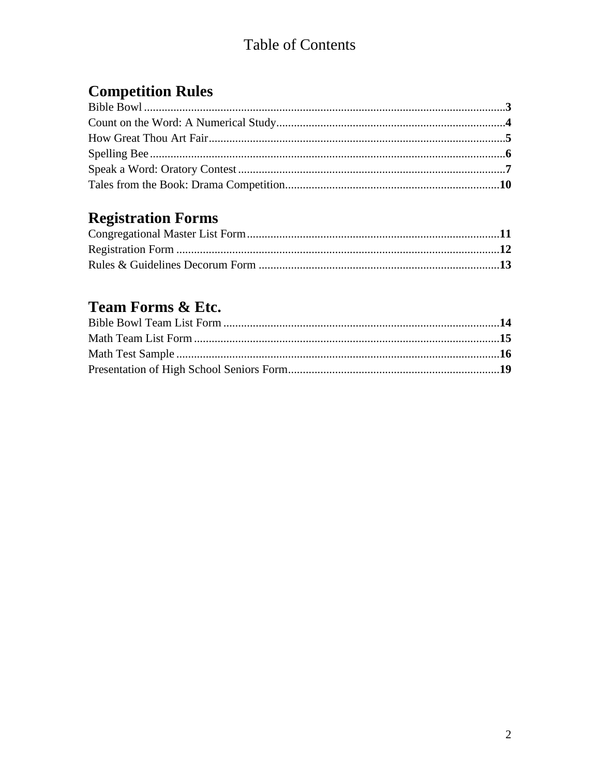## **Table of Contents**

## **Competition Rules**

## **Registration Forms**

## Team Forms & Etc.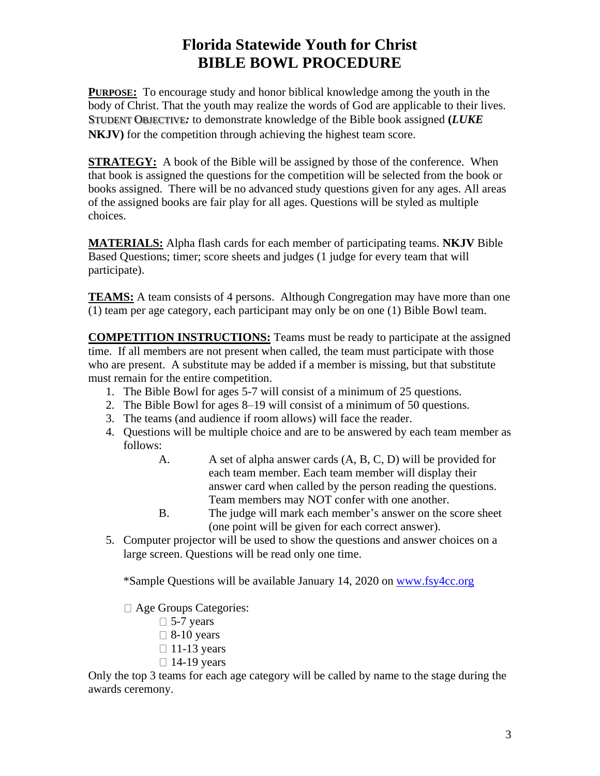## **Florida Statewide Youth for Christ BIBLE BOWL PROCEDURE**

**PURPOSE:** To encourage study and honor biblical knowledge among the youth in the body of Christ. That the youth may realize the words of God are applicable to their lives. STUDENT OBJECTIVE*:* to demonstrate knowledge of the Bible book assigned **(***LUKE*  **NKJV)** for the competition through achieving the highest team score.

**STRATEGY:** A book of the Bible will be assigned by those of the conference. When that book is assigned the questions for the competition will be selected from the book or books assigned. There will be no advanced study questions given for any ages. All areas of the assigned books are fair play for all ages. Questions will be styled as multiple choices.

**MATERIALS:** Alpha flash cards for each member of participating teams. **NKJV** Bible Based Questions; timer; score sheets and judges (1 judge for every team that will participate).

**TEAMS:** A team consists of 4 persons. Although Congregation may have more than one (1) team per age category, each participant may only be on one (1) Bible Bowl team.

**COMPETITION INSTRUCTIONS:** Teams must be ready to participate at the assigned time. If all members are not present when called, the team must participate with those who are present. A substitute may be added if a member is missing, but that substitute must remain for the entire competition.

- 1. The Bible Bowl for ages 5-7 will consist of a minimum of 25 questions.
- 2. The Bible Bowl for ages 8–19 will consist of a minimum of 50 questions.
- 3. The teams (and audience if room allows) will face the reader.
- 4. Questions will be multiple choice and are to be answered by each team member as follows:
	- A. A set of alpha answer cards  $(A, B, C, D)$  will be provided for each team member. Each team member will display their answer card when called by the person reading the questions. Team members may NOT confer with one another.
	- B. The judge will mark each member's answer on the score sheet (one point will be given for each correct answer).
- 5. Computer projector will be used to show the questions and answer choices on a large screen. Questions will be read only one time.

\*Sample Questions will be available January 14, 2020 on [www.fsy4cc.org](http://www.fsy4cc.org/)

- Age Groups Categories:
	- $\Box$  5-7 years
	- $\Box$  8-10 years
	- $\Box$  11-13 years
	- $\Box$  14-19 years

Only the top 3 teams for each age category will be called by name to the stage during the awards ceremony.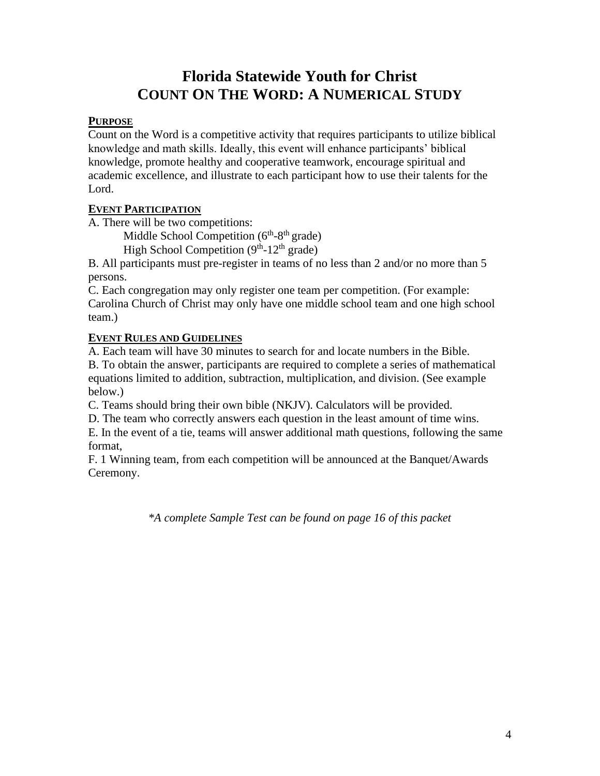## **Florida Statewide Youth for Christ COUNT ON THE WORD: A NUMERICAL STUDY**

#### **PURPOSE**

Count on the Word is a competitive activity that requires participants to utilize biblical knowledge and math skills. Ideally, this event will enhance participants' biblical knowledge, promote healthy and cooperative teamwork, encourage spiritual and academic excellence, and illustrate to each participant how to use their talents for the Lord.

#### **EVENT PARTICIPATION**

A. There will be two competitions:

Middle School Competition  $(6<sup>th</sup>-8<sup>th</sup> \text{ grade})$ 

High School Competition  $(9<sup>th</sup>-12<sup>th</sup>$  grade)

B. All participants must pre-register in teams of no less than 2 and/or no more than 5 persons.

C. Each congregation may only register one team per competition. (For example: Carolina Church of Christ may only have one middle school team and one high school team.)

#### **EVENT RULES AND GUIDELINES**

A. Each team will have 30 minutes to search for and locate numbers in the Bible.

B. To obtain the answer, participants are required to complete a series of mathematical equations limited to addition, subtraction, multiplication, and division. (See example below.)

C. Teams should bring their own bible (NKJV). Calculators will be provided.

D. The team who correctly answers each question in the least amount of time wins.

E. In the event of a tie, teams will answer additional math questions, following the same format,

F. 1 Winning team, from each competition will be announced at the Banquet/Awards Ceremony.

*\*A complete Sample Test can be found on page 16 of this packet*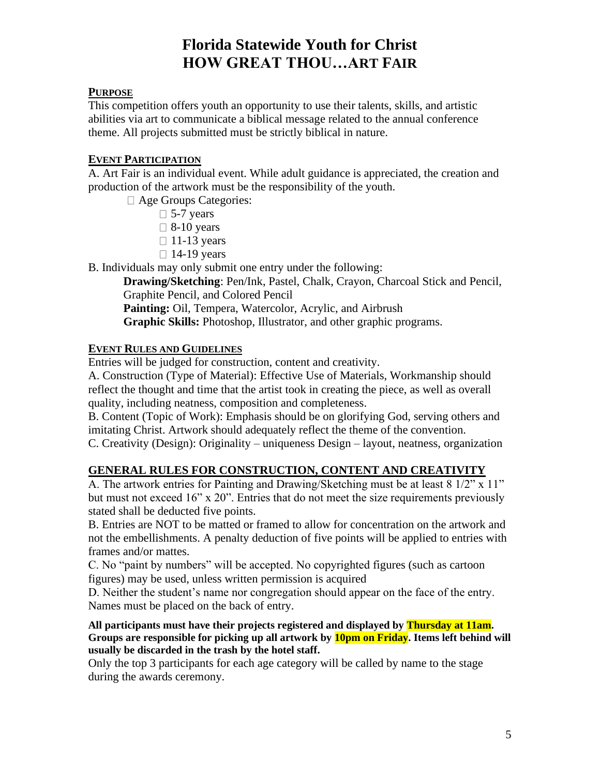## **Florida Statewide Youth for Christ HOW GREAT THOU…ART FAIR**

#### **PURPOSE**

This competition offers youth an opportunity to use their talents, skills, and artistic abilities via art to communicate a biblical message related to the annual conference theme. All projects submitted must be strictly biblical in nature.

#### **EVENT PARTICIPATION**

A. Art Fair is an individual event. While adult guidance is appreciated, the creation and production of the artwork must be the responsibility of the youth.

Age Groups Categories:

- $\Box$  5-7 years
- $\Box$  8-10 years
- $\Box$  11-13 years
- $\Box$  14-19 years

B. Individuals may only submit one entry under the following:

**Drawing/Sketching**: Pen/Ink, Pastel, Chalk, Crayon, Charcoal Stick and Pencil, Graphite Pencil, and Colored Pencil

**Painting:** Oil, Tempera, Watercolor, Acrylic, and Airbrush **Graphic Skills:** Photoshop, Illustrator, and other graphic programs.

#### **EVENT RULES AND GUIDELINES**

Entries will be judged for construction, content and creativity.

A. Construction (Type of Material): Effective Use of Materials, Workmanship should reflect the thought and time that the artist took in creating the piece, as well as overall quality, including neatness, composition and completeness.

B. Content (Topic of Work): Emphasis should be on glorifying God, serving others and imitating Christ. Artwork should adequately reflect the theme of the convention.

C. Creativity (Design): Originality – uniqueness Design – layout, neatness, organization

#### **GENERAL RULES FOR CONSTRUCTION, CONTENT AND CREATIVITY**

A. The artwork entries for Painting and Drawing/Sketching must be at least 8 1/2" x 11" but must not exceed 16" x 20". Entries that do not meet the size requirements previously stated shall be deducted five points.

B. Entries are NOT to be matted or framed to allow for concentration on the artwork and not the embellishments. A penalty deduction of five points will be applied to entries with frames and/or mattes.

C. No "paint by numbers" will be accepted. No copyrighted figures (such as cartoon figures) may be used, unless written permission is acquired

D. Neither the student's name nor congregation should appear on the face of the entry. Names must be placed on the back of entry.

**All participants must have their projects registered and displayed by Thursday at 11am. Groups are responsible for picking up all artwork by 10pm on Friday. Items left behind will usually be discarded in the trash by the hotel staff.**

Only the top 3 participants for each age category will be called by name to the stage during the awards ceremony.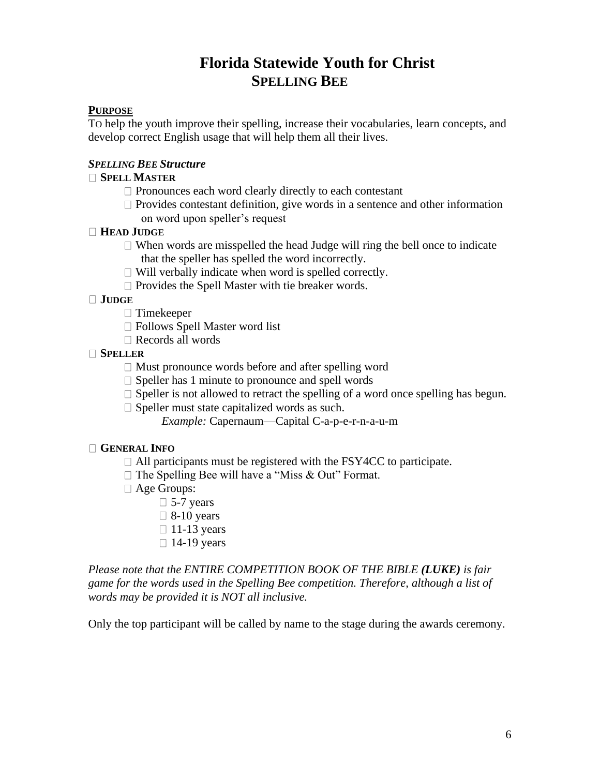## **Florida Statewide Youth for Christ SPELLING BEE**

#### **PURPOSE**

TO help the youth improve their spelling, increase their vocabularies, learn concepts, and develop correct English usage that will help them all their lives.

#### *SPELLING BEE Structure*

#### **SPELL MASTER**

- $\Box$  Pronounces each word clearly directly to each contestant
- $\Box$  Provides contestant definition, give words in a sentence and other information on word upon speller's request

#### **HEAD JUDGE**

- $\Box$  When words are misspelled the head Judge will ring the bell once to indicate that the speller has spelled the word incorrectly.
- $\Box$  Will verbally indicate when word is spelled correctly.
- $\square$  Provides the Spell Master with tie breaker words.

#### **JUDGE**

- □ Timekeeper
- □ Follows Spell Master word list
- □ Records all words

#### **SPELLER**

- $\Box$  Must pronounce words before and after spelling word
- $\square$  Speller has 1 minute to pronounce and spell words
- $\Box$  Speller is not allowed to retract the spelling of a word once spelling has begun.
- $\Box$  Speller must state capitalized words as such.
	- *Example:* Capernaum—Capital C-a-p-e-r-n-a-u-m

#### **GENERAL INFO**

- $\Box$  All participants must be registered with the FSY4CC to participate.
- $\Box$  The Spelling Bee will have a "Miss & Out" Format.
- □ Age Groups:
	- $\Box$  5-7 years
	- $\Box$  8-10 years
	- $\Box$  11-13 years
	- $\Box$  14-19 years

*Please note that the ENTIRE COMPETITION BOOK OF THE BIBLE (LUKE) is fair game for the words used in the Spelling Bee competition. Therefore, although a list of words may be provided it is NOT all inclusive.*

Only the top participant will be called by name to the stage during the awards ceremony.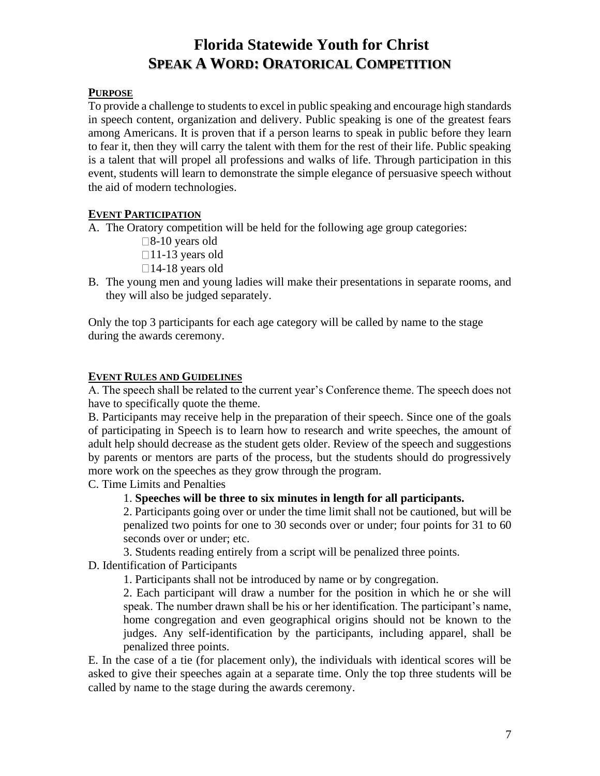## **Florida Statewide Youth for Christ SPEAK A WORD: ORATORICAL COMPETITION**

#### **PURPOSE**

To provide a challenge to students to excel in public speaking and encourage high standards in speech content, organization and delivery. Public speaking is one of the greatest fears among Americans. It is proven that if a person learns to speak in public before they learn to fear it, then they will carry the talent with them for the rest of their life. Public speaking is a talent that will propel all professions and walks of life. Through participation in this event, students will learn to demonstrate the simple elegance of persuasive speech without the aid of modern technologies.

#### **EVENT PARTICIPATION**

A. The Oratory competition will be held for the following age group categories:

- $\square$ 8-10 years old
- $\Box$ 11-13 years old
- $\Box$ 14-18 years old
- B. The young men and young ladies will make their presentations in separate rooms, and they will also be judged separately.

Only the top 3 participants for each age category will be called by name to the stage during the awards ceremony.

#### **EVENT RULES AND GUIDELINES**

A. The speech shall be related to the current year's Conference theme. The speech does not have to specifically quote the theme.

B. Participants may receive help in the preparation of their speech. Since one of the goals of participating in Speech is to learn how to research and write speeches, the amount of adult help should decrease as the student gets older. Review of the speech and suggestions by parents or mentors are parts of the process, but the students should do progressively more work on the speeches as they grow through the program.

C. Time Limits and Penalties

#### 1. **Speeches will be three to six minutes in length for all participants.**

2. Participants going over or under the time limit shall not be cautioned, but will be penalized two points for one to 30 seconds over or under; four points for 31 to 60 seconds over or under; etc.

3. Students reading entirely from a script will be penalized three points.

D. Identification of Participants

1. Participants shall not be introduced by name or by congregation.

2. Each participant will draw a number for the position in which he or she will speak. The number drawn shall be his or her identification. The participant's name, home congregation and even geographical origins should not be known to the judges. Any self-identification by the participants, including apparel, shall be penalized three points.

E. In the case of a tie (for placement only), the individuals with identical scores will be asked to give their speeches again at a separate time. Only the top three students will be called by name to the stage during the awards ceremony.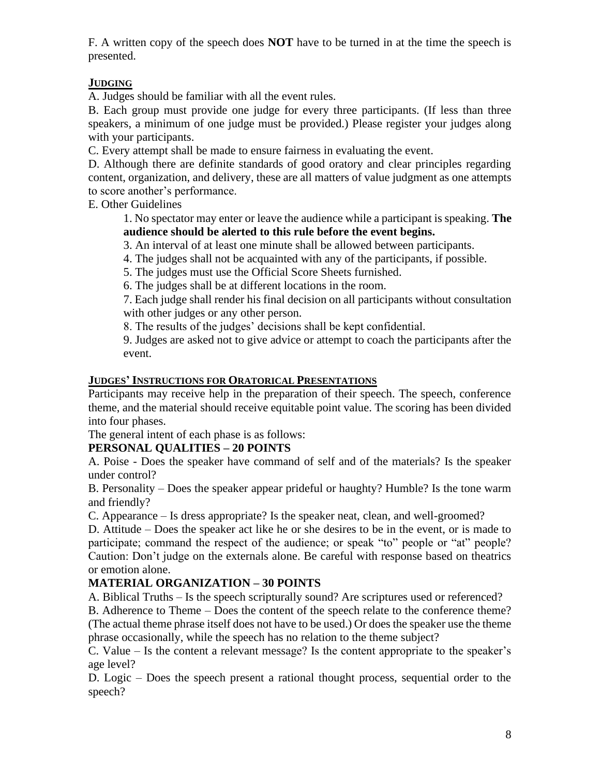F. A written copy of the speech does **NOT** have to be turned in at the time the speech is presented.

#### **JUDGING**

A. Judges should be familiar with all the event rules.

B. Each group must provide one judge for every three participants. (If less than three speakers, a minimum of one judge must be provided.) Please register your judges along with your participants.

C. Every attempt shall be made to ensure fairness in evaluating the event.

D. Although there are definite standards of good oratory and clear principles regarding content, organization, and delivery, these are all matters of value judgment as one attempts to score another's performance.

E. Other Guidelines

1. No spectator may enter or leave the audience while a participant is speaking. **The audience should be alerted to this rule before the event begins.** 

3. An interval of at least one minute shall be allowed between participants.

4. The judges shall not be acquainted with any of the participants, if possible.

5. The judges must use the Official Score Sheets furnished.

6. The judges shall be at different locations in the room.

7. Each judge shall render his final decision on all participants without consultation with other judges or any other person.

8. The results of the judges' decisions shall be kept confidential.

9. Judges are asked not to give advice or attempt to coach the participants after the event.

#### **JUDGES' INSTRUCTIONS FOR ORATORICAL PRESENTATIONS**

Participants may receive help in the preparation of their speech. The speech, conference theme, and the material should receive equitable point value. The scoring has been divided into four phases.

The general intent of each phase is as follows:

#### **PERSONAL QUALITIES – 20 POINTS**

A. Poise - Does the speaker have command of self and of the materials? Is the speaker under control?

B. Personality – Does the speaker appear prideful or haughty? Humble? Is the tone warm and friendly?

C. Appearance – Is dress appropriate? Is the speaker neat, clean, and well-groomed?

D. Attitude – Does the speaker act like he or she desires to be in the event, or is made to participate; command the respect of the audience; or speak "to" people or "at" people? Caution: Don't judge on the externals alone. Be careful with response based on theatrics or emotion alone.

#### **MATERIAL ORGANIZATION – 30 POINTS**

A. Biblical Truths – Is the speech scripturally sound? Are scriptures used or referenced?

B. Adherence to Theme – Does the content of the speech relate to the conference theme? (The actual theme phrase itself does not have to be used.) Or does the speaker use the theme phrase occasionally, while the speech has no relation to the theme subject?

C. Value – Is the content a relevant message? Is the content appropriate to the speaker's age level?

D. Logic – Does the speech present a rational thought process, sequential order to the speech?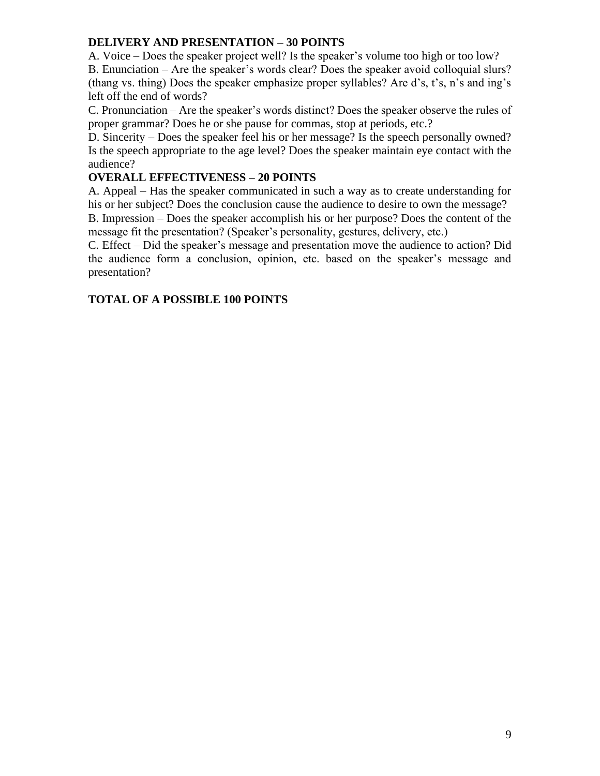#### **DELIVERY AND PRESENTATION – 30 POINTS**

A. Voice – Does the speaker project well? Is the speaker's volume too high or too low? B. Enunciation – Are the speaker's words clear? Does the speaker avoid colloquial slurs? (thang vs. thing) Does the speaker emphasize proper syllables? Are d's, t's, n's and ing's left off the end of words?

C. Pronunciation – Are the speaker's words distinct? Does the speaker observe the rules of proper grammar? Does he or she pause for commas, stop at periods, etc.?

D. Sincerity – Does the speaker feel his or her message? Is the speech personally owned? Is the speech appropriate to the age level? Does the speaker maintain eye contact with the audience?

#### **OVERALL EFFECTIVENESS – 20 POINTS**

A. Appeal – Has the speaker communicated in such a way as to create understanding for his or her subject? Does the conclusion cause the audience to desire to own the message? B. Impression – Does the speaker accomplish his or her purpose? Does the content of the message fit the presentation? (Speaker's personality, gestures, delivery, etc.)

C. Effect – Did the speaker's message and presentation move the audience to action? Did the audience form a conclusion, opinion, etc. based on the speaker's message and presentation?

#### **TOTAL OF A POSSIBLE 100 POINTS**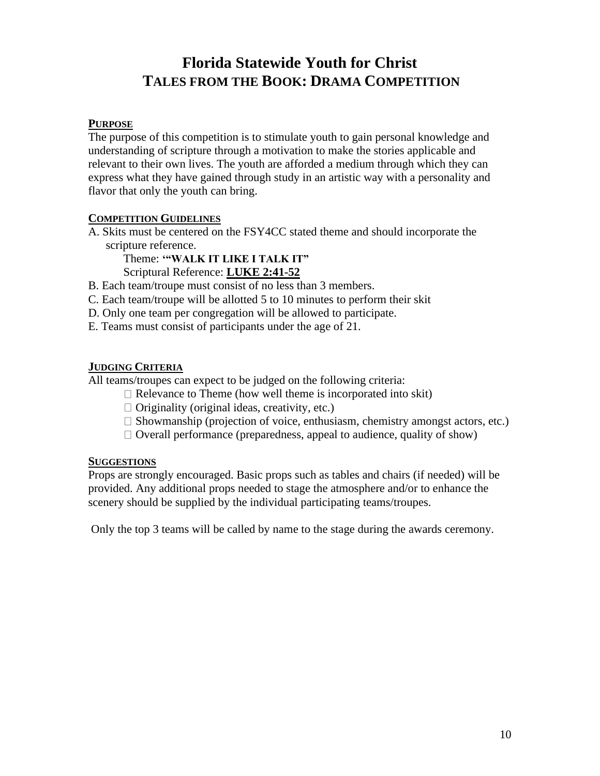## **Florida Statewide Youth for Christ TALES FROM THE BOOK: DRAMA COMPETITION**

#### **PURPOSE**

The purpose of this competition is to stimulate youth to gain personal knowledge and understanding of scripture through a motivation to make the stories applicable and relevant to their own lives. The youth are afforded a medium through which they can express what they have gained through study in an artistic way with a personality and flavor that only the youth can bring.

#### **COMPETITION GUIDELINES**

A. Skits must be centered on the FSY4CC stated theme and should incorporate the scripture reference.

Theme: **'"WALK IT LIKE I TALK IT"**

Scriptural Reference: **LUKE 2:41-52**

- B. Each team/troupe must consist of no less than 3 members.
- C. Each team/troupe will be allotted 5 to 10 minutes to perform their skit
- D. Only one team per congregation will be allowed to participate.
- E. Teams must consist of participants under the age of 21.

#### **JUDGING CRITERIA**

All teams/troupes can expect to be judged on the following criteria:

- $\Box$  Relevance to Theme (how well theme is incorporated into skit)
- $\Box$  Originality (original ideas, creativity, etc.)
- $\Box$  Showmanship (projection of voice, enthusiasm, chemistry amongst actors, etc.)
- $\Box$  Overall performance (preparedness, appeal to audience, quality of show)

#### **SUGGESTIONS**

Props are strongly encouraged. Basic props such as tables and chairs (if needed) will be provided. Any additional props needed to stage the atmosphere and/or to enhance the scenery should be supplied by the individual participating teams/troupes.

Only the top 3 teams will be called by name to the stage during the awards ceremony.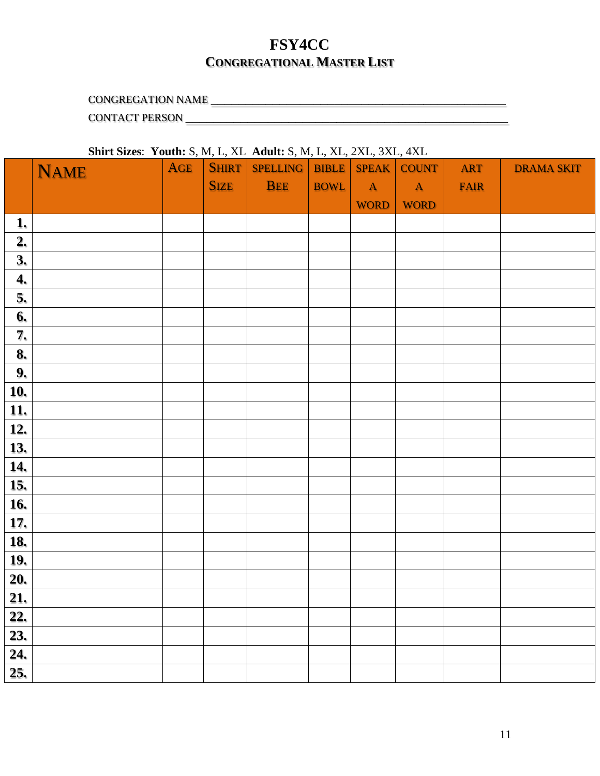### **FSY4CC CONGREGATIONAL MASTER LIST**

CONGREGATION NAME \_\_\_\_\_\_\_\_\_\_\_\_\_\_\_\_\_\_\_\_\_\_\_\_\_\_\_\_\_\_\_\_\_\_\_\_\_\_\_\_\_\_\_

CONTACT PERSON \_\_\_\_\_\_\_\_\_\_\_\_\_\_\_\_\_\_\_\_\_\_\_\_\_\_\_\_\_\_\_\_\_\_\_\_\_\_\_\_\_\_\_\_\_\_\_

#### **Shirt Sizes**: **Youth:** S, M, L, XL **Adult:** S, M, L, XL, 2XL, 3XL, 4XL

|                   | <b>NAME</b> | <b>AGE</b> | $\overline{\phantom{a}}$<br><b>SHIRT</b> | $\cdots$ $\cdots$ $\cdots$<br>SPELLING   BIBLE | $\qquad \qquad$ | $\overline{\phantom{a}}$ | SPEAK COUNT | <b>ART</b>  | <b>DRAMA SKIT</b> |
|-------------------|-------------|------------|------------------------------------------|------------------------------------------------|-----------------|--------------------------|-------------|-------------|-------------------|
|                   |             |            | <b>SIZE</b>                              | <b>BEE</b>                                     | <b>BOWL</b>     | $\mathbf{A}$             | A           | <b>FAIR</b> |                   |
|                   |             |            |                                          |                                                |                 | <b>WORD</b>              | <b>WORD</b> |             |                   |
| 1.                |             |            |                                          |                                                |                 |                          |             |             |                   |
| 2.                |             |            |                                          |                                                |                 |                          |             |             |                   |
| 3.                |             |            |                                          |                                                |                 |                          |             |             |                   |
| 4.                |             |            |                                          |                                                |                 |                          |             |             |                   |
| 5.                |             |            |                                          |                                                |                 |                          |             |             |                   |
| 6.                |             |            |                                          |                                                |                 |                          |             |             |                   |
| 7.                |             |            |                                          |                                                |                 |                          |             |             |                   |
| 8.                |             |            |                                          |                                                |                 |                          |             |             |                   |
| 9.                |             |            |                                          |                                                |                 |                          |             |             |                   |
| 10.               |             |            |                                          |                                                |                 |                          |             |             |                   |
| 11.               |             |            |                                          |                                                |                 |                          |             |             |                   |
| 12.               |             |            |                                          |                                                |                 |                          |             |             |                   |
| 13.               |             |            |                                          |                                                |                 |                          |             |             |                   |
| 14.               |             |            |                                          |                                                |                 |                          |             |             |                   |
| 15.               |             |            |                                          |                                                |                 |                          |             |             |                   |
| 16.               |             |            |                                          |                                                |                 |                          |             |             |                   |
| 17.               |             |            |                                          |                                                |                 |                          |             |             |                   |
| 18.               |             |            |                                          |                                                |                 |                          |             |             |                   |
| 19.               |             |            |                                          |                                                |                 |                          |             |             |                   |
| $\overline{20}$ . |             |            |                                          |                                                |                 |                          |             |             |                   |
| $\overline{21}$ . |             |            |                                          |                                                |                 |                          |             |             |                   |
| 22.               |             |            |                                          |                                                |                 |                          |             |             |                   |
| 23.               |             |            |                                          |                                                |                 |                          |             |             |                   |
| 24.               |             |            |                                          |                                                |                 |                          |             |             |                   |
| 25.               |             |            |                                          |                                                |                 |                          |             |             |                   |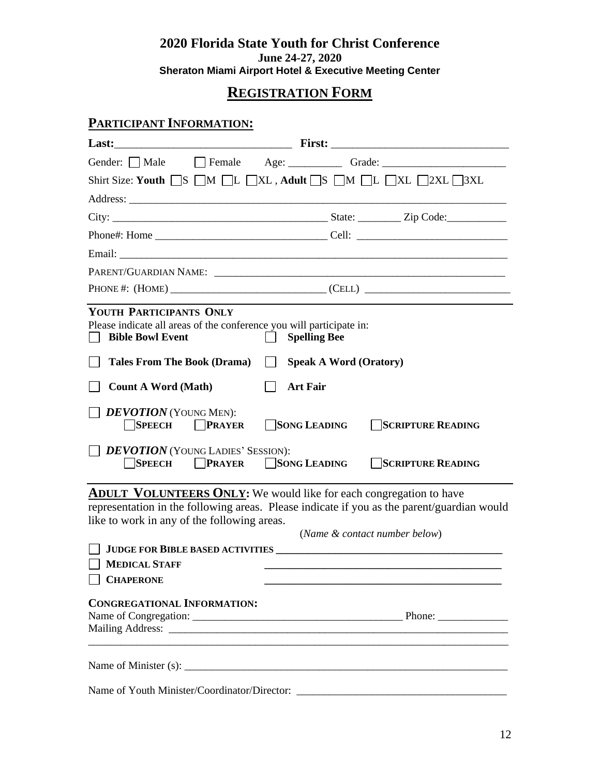#### **2020 Florida State Youth for Christ Conference June 24-27, 2020 Sheraton Miami Airport Hotel & Executive Meeting Center**

### **REGISTRATION FORM**

#### **PARTICIPANT INFORMATION:**

|                                                                                                                            | Gender: Male Female Age: Grade: Crade: Capacanon Contact Contact Age: Crade: Crade: Capacanon Contact Contact C                                                                                                               |
|----------------------------------------------------------------------------------------------------------------------------|-------------------------------------------------------------------------------------------------------------------------------------------------------------------------------------------------------------------------------|
|                                                                                                                            | Shirt Size: Youth $\Box S$ $\Box M$ $\Box L$ $\Box XL$ , Adult $\Box S$ $\Box M$ $\Box L$ $\Box 2XL$ $\Box 3XL$                                                                                                               |
|                                                                                                                            |                                                                                                                                                                                                                               |
|                                                                                                                            |                                                                                                                                                                                                                               |
|                                                                                                                            |                                                                                                                                                                                                                               |
|                                                                                                                            |                                                                                                                                                                                                                               |
|                                                                                                                            | PARENT/GUARDIAN NAME: \\contact \\contact \\contact \\contact \\contact \\contact \\contact \\contact \\contact \\contact \\contact \\contact \\contact \\contact \\contact \\contact \\contact \\contact \\contact \\contact |
|                                                                                                                            | PHONE #: (HOME) ___________________________________(CELL) _______________________                                                                                                                                             |
| YOUTH PARTICIPANTS ONLY<br>Please indicate all areas of the conference you will participate in:<br><b>Bible Bowl Event</b> | <b>Spelling Bee</b>                                                                                                                                                                                                           |
| <b>Tales From The Book (Drama)</b>                                                                                         | <b>Speak A Word (Oratory)</b>                                                                                                                                                                                                 |
| <b>Count A Word (Math)</b>                                                                                                 | <b>Art Fair</b>                                                                                                                                                                                                               |
| <b>DEVOTION</b> (YOUNG MEN):<br><b>SPEECH</b><br><b>PRAYER</b><br>$\Box$ <b>DEVOTION</b> (YOUNG LADIES' SESSION):          | SONG LEADING<br><b>SCRIPTURE READING</b>                                                                                                                                                                                      |
| <b>SPEECH</b>                                                                                                              | <b>PRAYER SONG LEADING</b><br><b>SCRIPTURE READING</b>                                                                                                                                                                        |
| like to work in any of the following areas.                                                                                | <b>ADULT VOLUNTEERS ONLY:</b> We would like for each congregation to have<br>representation in the following areas. Please indicate if you as the parent/guardian would<br>(Name & contact number below)                      |
|                                                                                                                            |                                                                                                                                                                                                                               |
| <b>MEDICAL STAFF</b><br><b>CHAPERONE</b>                                                                                   |                                                                                                                                                                                                                               |
| <b>CONGREGATIONAL INFORMATION:</b>                                                                                         |                                                                                                                                                                                                                               |
|                                                                                                                            |                                                                                                                                                                                                                               |
| Name of Youth Minister/Coordinator/Director:                                                                               |                                                                                                                                                                                                                               |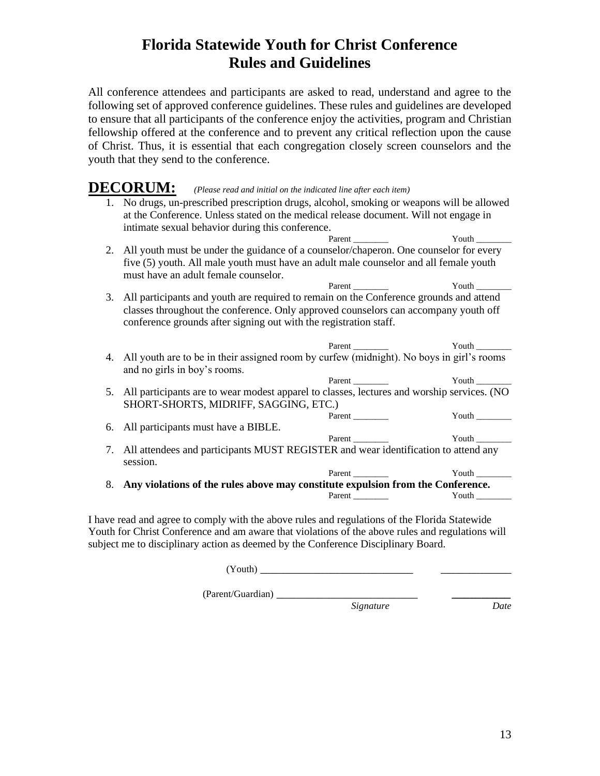## **Florida Statewide Youth for Christ Conference Rules and Guidelines**

All conference attendees and participants are asked to read, understand and agree to the following set of approved conference guidelines. These rules and guidelines are developed to ensure that all participants of the conference enjoy the activities, program and Christian fellowship offered at the conference and to prevent any critical reflection upon the cause of Christ. Thus, it is essential that each congregation closely screen counselors and the youth that they send to the conference.

## **DECORUM:** *(Please read and initial on the indicated line after each item)*

- 1. No drugs, un-prescribed prescription drugs, alcohol, smoking or weapons will be allowed at the Conference. Unless stated on the medical release document. Will not engage in intimate sexual behavior during this conference. Parent Youth Youth Z 2. All youth must be under the guidance of a counselor/chaperon. One counselor for every five (5) youth. All male youth must have an adult male counselor and all female youth must have an adult female counselor. Parent \_\_\_\_\_\_\_\_ Youth \_\_\_\_\_\_\_\_ 3. All participants and youth are required to remain on the Conference grounds and attend classes throughout the conference. Only approved counselors can accompany youth off conference grounds after signing out with the registration staff. Parent Youth Youth The Youth  $\sim$ 4. All youth are to be in their assigned room by curfew (midnight). No boys in girl's rooms and no girls in boy's rooms. Parent Youth Youth Z 5. All participants are to wear modest apparel to classes, lectures and worship services. (NO SHORT-SHORTS, MIDRIFF, SAGGING, ETC.) Parent \_\_\_\_\_\_\_\_ Youth \_\_\_\_\_\_\_\_ 6. All participants must have a BIBLE. Parent \_\_\_\_\_\_\_\_ Youth \_\_\_\_\_\_\_\_ 7. All attendees and participants MUST REGISTER and wear identification to attend any
- session. Parent Youth The Youth The Youth The Youth The Youth The Youth The Youth The Youth The Youth The Youth The Youth The Youth The Youth The Youth The Youth The Youth The Youth The Youth The Youth The Youth The Youth The Youth 8. **Any violations of the rules above may constitute expulsion from the Conference.**

Parent \_\_\_\_\_\_\_\_ Youth \_\_\_\_\_\_\_\_

I have read and agree to comply with the above rules and regulations of the Florida Statewide Youth for Christ Conference and am aware that violations of the above rules and regulations will subject me to disciplinary action as deemed by the Conference Disciplinary Board.

(Youth) \_\_\_\_\_\_\_\_\_\_\_\_\_\_\_\_\_\_\_\_\_\_\_\_\_\_ \_\_\_\_\_\_\_\_\_\_\_\_

(Parent/Guardian) \_\_\_\_\_\_\_\_\_\_\_\_\_\_\_\_\_\_\_\_\_\_\_\_ *\_\_\_\_\_\_\_\_\_\_*

*Signature Date*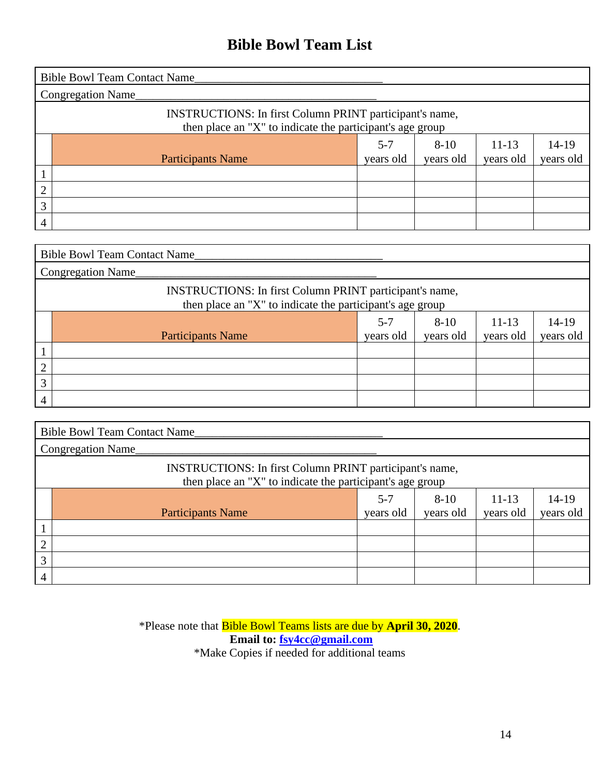## **Bible Bowl Team List**

|   | <b>Bible Bowl Team Contact Name</b>                                                                                         |                      |                       |                        |                      |  |
|---|-----------------------------------------------------------------------------------------------------------------------------|----------------------|-----------------------|------------------------|----------------------|--|
|   | Congregation Name_                                                                                                          |                      |                       |                        |                      |  |
|   | <b>INSTRUCTIONS:</b> In first Column PRINT participant's name,<br>then place an "X" to indicate the participant's age group |                      |                       |                        |                      |  |
|   | <b>Participants Name</b>                                                                                                    | $5 - 7$<br>years old | $8 - 10$<br>years old | $11 - 13$<br>years old | $14-19$<br>years old |  |
|   |                                                                                                                             |                      |                       |                        |                      |  |
| ↑ |                                                                                                                             |                      |                       |                        |                      |  |
| 3 |                                                                                                                             |                      |                       |                        |                      |  |
| 4 |                                                                                                                             |                      |                       |                        |                      |  |

|                | <b>Bible Bowl Team Contact Name</b>                                                                                  |                      |                       |                        |                      |  |
|----------------|----------------------------------------------------------------------------------------------------------------------|----------------------|-----------------------|------------------------|----------------------|--|
|                | <b>Congregation Name</b>                                                                                             |                      |                       |                        |                      |  |
|                | INSTRUCTIONS: In first Column PRINT participant's name,<br>then place an "X" to indicate the participant's age group |                      |                       |                        |                      |  |
|                | <b>Participants Name</b>                                                                                             | $5 - 7$<br>years old | $8 - 10$<br>years old | $11 - 13$<br>years old | $14-19$<br>years old |  |
|                |                                                                                                                      |                      |                       |                        |                      |  |
| ◠              |                                                                                                                      |                      |                       |                        |                      |  |
| 3              |                                                                                                                      |                      |                       |                        |                      |  |
| $\overline{4}$ |                                                                                                                      |                      |                       |                        |                      |  |

|   | <b>Bible Bowl Team Contact Name_</b>                                                                                        |                      |                       |                      |                      |  |
|---|-----------------------------------------------------------------------------------------------------------------------------|----------------------|-----------------------|----------------------|----------------------|--|
|   | Congregation Name                                                                                                           |                      |                       |                      |                      |  |
|   | <b>INSTRUCTIONS:</b> In first Column PRINT participant's name,<br>then place an "X" to indicate the participant's age group |                      |                       |                      |                      |  |
|   | <b>Participants Name</b>                                                                                                    | $5 - 7$<br>years old | $8 - 10$<br>years old | $11-13$<br>years old | $14-19$<br>years old |  |
|   |                                                                                                                             |                      |                       |                      |                      |  |
| ◠ |                                                                                                                             |                      |                       |                      |                      |  |
| 3 |                                                                                                                             |                      |                       |                      |                      |  |
|   |                                                                                                                             |                      |                       |                      |                      |  |

\*Please note that Bible Bowl Teams lists are due by **April 30, 2020**. **Email to: [fsy4cc@gmail.com](mailto:fsy4cc@gmail.com)** \*Make Copies if needed for additional teams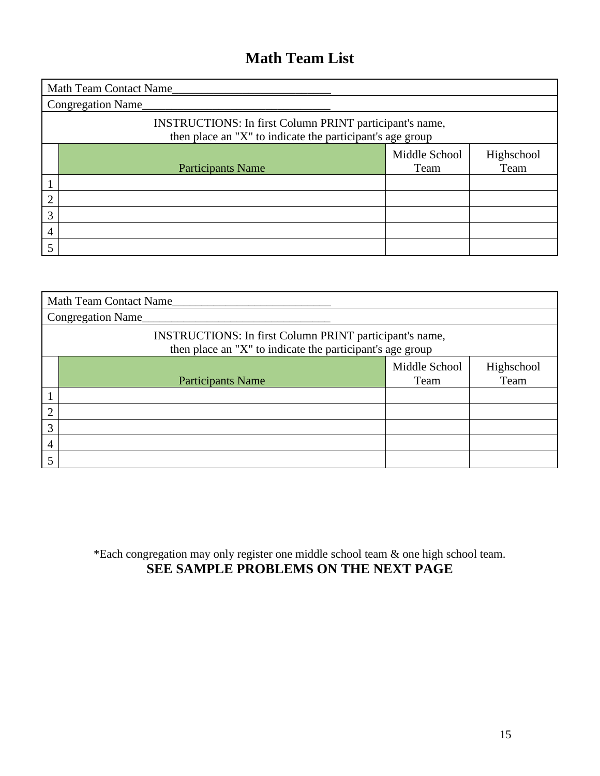## **Math Team List**

|                | Math Team Contact Name                                                                                               |                       |                    |  |  |  |
|----------------|----------------------------------------------------------------------------------------------------------------------|-----------------------|--------------------|--|--|--|
|                | Congregation Name_                                                                                                   |                       |                    |  |  |  |
|                | INSTRUCTIONS: In first Column PRINT participant's name,<br>then place an "X" to indicate the participant's age group |                       |                    |  |  |  |
|                | <b>Participants Name</b>                                                                                             | Middle School<br>Team | Highschool<br>Team |  |  |  |
|                |                                                                                                                      |                       |                    |  |  |  |
| $\overline{2}$ |                                                                                                                      |                       |                    |  |  |  |
| 3              |                                                                                                                      |                       |                    |  |  |  |
| 4              |                                                                                                                      |                       |                    |  |  |  |
| 5              |                                                                                                                      |                       |                    |  |  |  |

|   | <b>Math Team Contact Name</b>                                                                                        |                       |                    |  |  |  |
|---|----------------------------------------------------------------------------------------------------------------------|-----------------------|--------------------|--|--|--|
|   | Congregation Name                                                                                                    |                       |                    |  |  |  |
|   | INSTRUCTIONS: In first Column PRINT participant's name,<br>then place an "X" to indicate the participant's age group |                       |                    |  |  |  |
|   | <b>Participants Name</b>                                                                                             | Middle School<br>Team | Highschool<br>Team |  |  |  |
|   |                                                                                                                      |                       |                    |  |  |  |
| റ |                                                                                                                      |                       |                    |  |  |  |
| 3 |                                                                                                                      |                       |                    |  |  |  |
| 4 |                                                                                                                      |                       |                    |  |  |  |
|   |                                                                                                                      |                       |                    |  |  |  |

\*Each congregation may only register one middle school team & one high school team. **SEE SAMPLE PROBLEMS ON THE NEXT PAGE**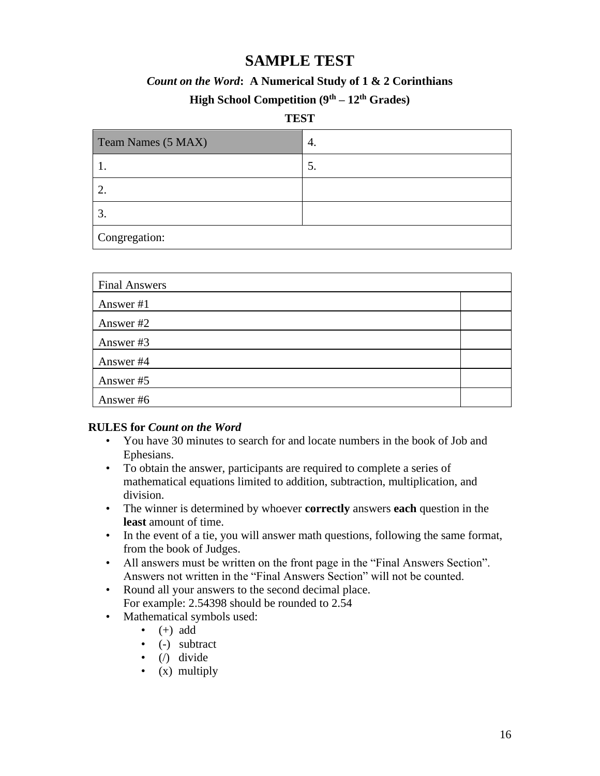### **SAMPLE TEST**

#### *Count on the Word***: A Numerical Study of 1 & 2 Corinthians**

#### **High School Competition (9th – 12th Grades)**

#### **TEST**

| Team Names (5 MAX) | 4. |  |  |  |
|--------------------|----|--|--|--|
|                    | C. |  |  |  |
|                    |    |  |  |  |
|                    |    |  |  |  |
| Congregation:      |    |  |  |  |

| <b>Final Answers</b> |  |
|----------------------|--|
| Answer #1            |  |
| Answer #2            |  |
| Answer #3            |  |
| Answer #4            |  |
| Answer #5            |  |
| Answer #6            |  |

#### **RULES for** *Count on the Word*

- You have 30 minutes to search for and locate numbers in the book of Job and Ephesians.
- To obtain the answer, participants are required to complete a series of mathematical equations limited to addition, subtraction, multiplication, and division.
- The winner is determined by whoever **correctly** answers **each** question in the **least** amount of time.
- In the event of a tie, you will answer math questions, following the same format, from the book of Judges.
- All answers must be written on the front page in the "Final Answers Section". Answers not written in the "Final Answers Section" will not be counted.
- Round all your answers to the second decimal place. For example: 2.54398 should be rounded to 2.54
- Mathematical symbols used:
	- $\bullet$  (+) add
	- (-) subtract
	- $\bullet$  (/) divide
	- $(x)$  multiply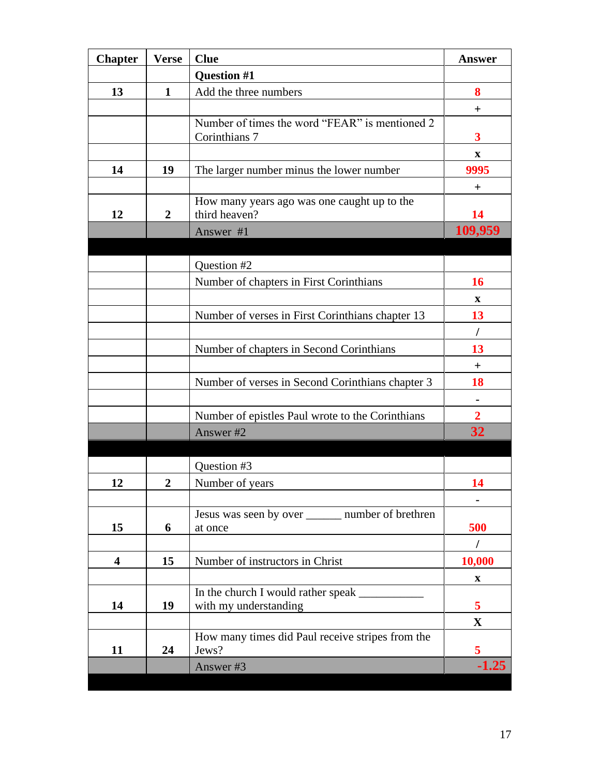| <b>Chapter</b> | <b>Verse</b>     | <b>Clue</b>                                                  | <b>Answer</b>  |
|----------------|------------------|--------------------------------------------------------------|----------------|
|                |                  | <b>Question #1</b>                                           |                |
| 13             | $\mathbf{1}$     | Add the three numbers                                        | 8              |
|                |                  |                                                              | $\pm$          |
|                |                  | Number of times the word "FEAR" is mentioned 2               |                |
|                |                  | Corinthians 7                                                | 3              |
|                |                  |                                                              | $\mathbf{X}$   |
| 14             | 19               | The larger number minus the lower number                     | 9995           |
|                |                  |                                                              | $\mathrm{+}$   |
| 12             | $\overline{2}$   | How many years ago was one caught up to the<br>third heaven? | 14             |
|                |                  |                                                              | 109,959        |
|                |                  | Answer #1                                                    |                |
|                |                  |                                                              |                |
|                |                  | Question #2                                                  |                |
|                |                  | Number of chapters in First Corinthians                      | 16             |
|                |                  |                                                              | $\mathbf{X}$   |
|                |                  | Number of verses in First Corinthians chapter 13             | 13             |
|                |                  |                                                              | $\prime$       |
|                |                  | Number of chapters in Second Corinthians                     | 13             |
|                |                  |                                                              | $+$            |
|                |                  | Number of verses in Second Corinthians chapter 3             | 18             |
|                |                  |                                                              |                |
|                |                  | Number of epistles Paul wrote to the Corinthians             | $\overline{2}$ |
|                |                  | Answer #2                                                    | 32             |
|                |                  |                                                              |                |
|                |                  | Question #3                                                  |                |
| 12             | $\boldsymbol{2}$ | Number of years                                              | 14             |
|                |                  |                                                              |                |
|                |                  | Jesus was seen by over ________ number of brethren           |                |
| 15             | 6                | at once                                                      | 500            |
|                |                  |                                                              | $\sqrt{2}$     |
| 4              | 15               | Number of instructors in Christ                              | 10,000         |
|                |                  |                                                              | X              |
|                |                  | In the church I would rather speak                           |                |
| 14             | 19               | with my understanding                                        | 5              |
|                |                  | How many times did Paul receive stripes from the             | $\mathbf X$    |
| 11             | 24               | Jews?                                                        | 5              |
|                |                  | Answer #3                                                    | $-1.25$        |
|                |                  |                                                              |                |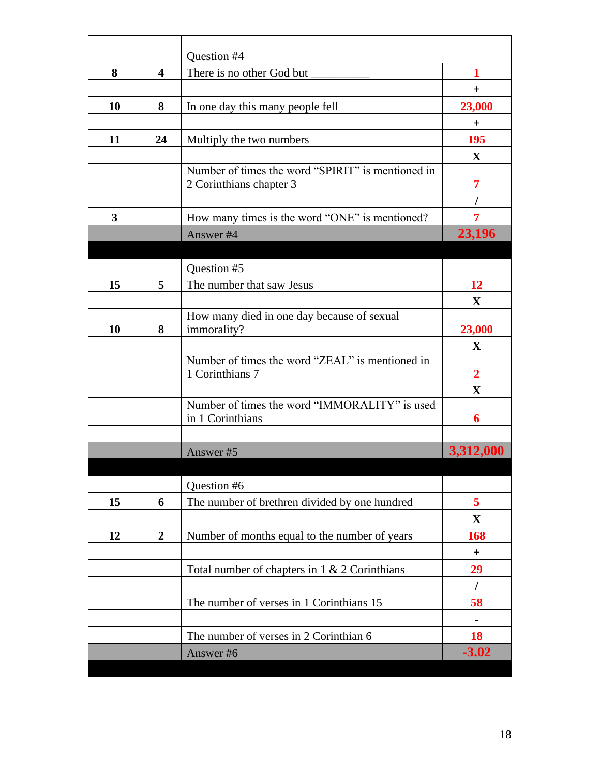|    |                         | Question #4                                       |              |
|----|-------------------------|---------------------------------------------------|--------------|
| 8  | $\overline{\mathbf{4}}$ | There is no other God but                         | 1            |
|    |                         |                                                   | $+$          |
| 10 | 8                       | In one day this many people fell                  | 23,000       |
|    |                         |                                                   | $^{+}$       |
| 11 | 24                      | Multiply the two numbers                          | 195          |
|    |                         |                                                   | X            |
|    |                         | Number of times the word "SPIRIT" is mentioned in |              |
|    |                         | 2 Corinthians chapter 3                           | 7            |
|    |                         |                                                   |              |
| 3  |                         | How many times is the word "ONE" is mentioned?    |              |
|    |                         | Answer #4                                         | 23,196       |
|    |                         |                                                   |              |
|    |                         | Question #5                                       |              |
| 15 | 5                       | The number that saw Jesus                         | 12           |
|    |                         |                                                   | X            |
|    |                         | How many died in one day because of sexual        |              |
| 10 | 8                       | immorality?                                       | 23,000       |
|    |                         | Number of times the word "ZEAL" is mentioned in   | $\mathbf X$  |
|    |                         | 1 Corinthians 7                                   | $\mathbf{2}$ |
|    |                         |                                                   | $\mathbf{X}$ |
|    |                         | Number of times the word "IMMORALITY" is used     |              |
|    |                         | in 1 Corinthians                                  | 6            |
|    |                         |                                                   |              |
|    |                         | Answer #5                                         | 3,312,000    |
|    |                         |                                                   |              |
|    |                         | Question #6                                       |              |
| 15 | 6                       | The number of brethren divided by one hundred     | 5            |
|    |                         |                                                   | $\mathbf X$  |
|    |                         |                                                   |              |
| 12 | $\overline{2}$          | Number of months equal to the number of years     | 168          |
|    |                         |                                                   | $\ddot{}$    |
|    |                         | Total number of chapters in 1 & 2 Corinthians     | 29           |
|    |                         |                                                   | $\prime$     |
|    |                         | The number of verses in 1 Corinthians 15          | 58           |
|    |                         |                                                   |              |
|    |                         | The number of verses in 2 Corinthian 6            | 18           |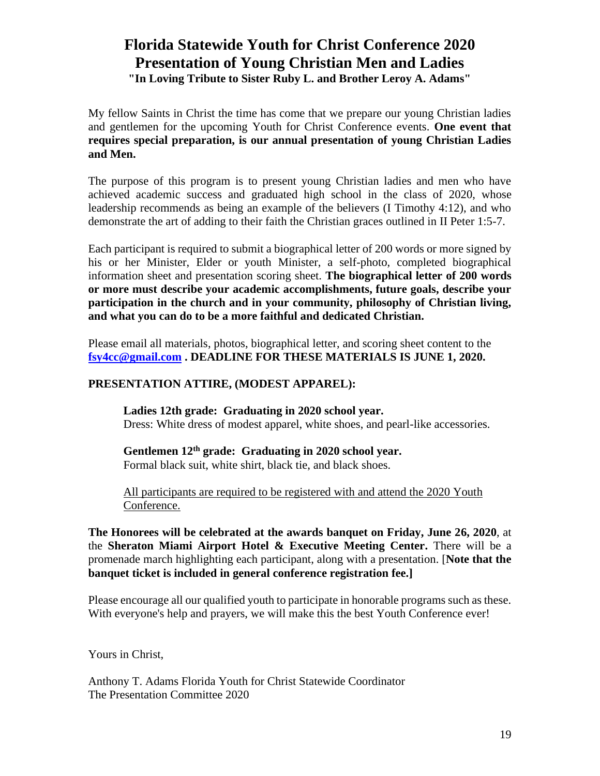# **Florida Statewide Youth for Christ Conference 2020 Presentation of Young Christian Men and Ladies**

**"In Loving Tribute to Sister Ruby L. and Brother Leroy A. Adams"**

My fellow Saints in Christ the time has come that we prepare our young Christian ladies and gentlemen for the upcoming Youth for Christ Conference events. **One event that requires special preparation, is our annual presentation of young Christian Ladies and Men.** 

The purpose of this program is to present young Christian ladies and men who have achieved academic success and graduated high school in the class of 2020, whose leadership recommends as being an example of the believers (I Timothy 4:12), and who demonstrate the art of adding to their faith the Christian graces outlined in II Peter 1:5-7.

Each participant is required to submit a biographical letter of 200 words or more signed by his or her Minister, Elder or youth Minister, a self-photo, completed biographical information sheet and presentation scoring sheet. **The biographical letter of 200 words or more must describe your academic accomplishments, future goals, describe your participation in the church and in your community, philosophy of Christian living, and what you can do to be a more faithful and dedicated Christian.**

Please email all materials, photos, biographical letter, and scoring sheet content to the **[fsy4cc@gmail.com](mailto:fsy4cc@gmail.com) . DEADLINE FOR THESE MATERIALS IS JUNE 1, 2020.**

#### **PRESENTATION ATTIRE, (MODEST APPAREL):**

**Ladies 12th grade: Graduating in 2020 school year.** Dress: White dress of modest apparel, white shoes, and pearl-like accessories.

**Gentlemen 12th grade: Graduating in 2020 school year.** Formal black suit, white shirt, black tie, and black shoes.

All participants are required to be registered with and attend the 2020 Youth Conference.

**The Honorees will be celebrated at the awards banquet on Friday, June 26, 2020**, at the **Sheraton Miami Airport Hotel & Executive Meeting Center.** There will be a promenade march highlighting each participant, along with a presentation. [**Note that the banquet ticket is included in general conference registration fee.]** 

Please encourage all our qualified youth to participate in honorable programs such as these. With everyone's help and prayers, we will make this the best Youth Conference ever!

Yours in Christ,

Anthony T. Adams Florida Youth for Christ Statewide Coordinator The Presentation Committee 2020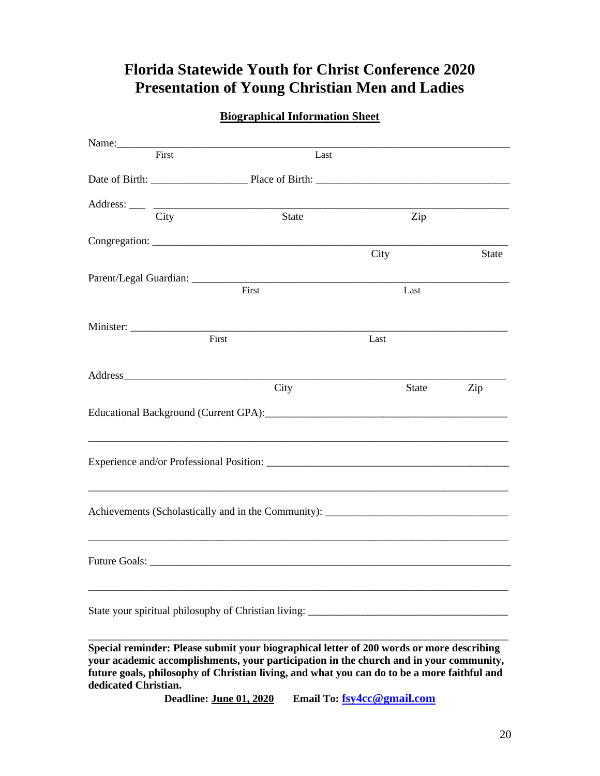## **Florida Statewide Youth for Christ Conference 2020 Presentation of Young Christian Men and Ladies**

| <b>Biographical Information Sheet</b> |  |
|---------------------------------------|--|
|                                       |  |

| Name:                |       |                                                                                                                                                                                                                                                                                   |       |              |
|----------------------|-------|-----------------------------------------------------------------------------------------------------------------------------------------------------------------------------------------------------------------------------------------------------------------------------------|-------|--------------|
|                      | First | Last                                                                                                                                                                                                                                                                              |       |              |
|                      |       |                                                                                                                                                                                                                                                                                   |       |              |
|                      | City  | State                                                                                                                                                                                                                                                                             | Zip   |              |
|                      |       |                                                                                                                                                                                                                                                                                   | City  | <b>State</b> |
|                      |       | First                                                                                                                                                                                                                                                                             | Last  |              |
|                      | First |                                                                                                                                                                                                                                                                                   | Last  |              |
|                      |       | City                                                                                                                                                                                                                                                                              | State | Zip          |
|                      |       |                                                                                                                                                                                                                                                                                   |       |              |
|                      |       |                                                                                                                                                                                                                                                                                   |       |              |
|                      |       | Achievements (Scholastically and in the Community): _____________________________                                                                                                                                                                                                 |       |              |
|                      |       |                                                                                                                                                                                                                                                                                   |       |              |
|                      |       | State your spiritual philosophy of Christian living: ____________________________                                                                                                                                                                                                 |       |              |
| dedicated Christian. |       | Special reminder: Please submit your biographical letter of 200 words or more describing<br>your academic accomplishments, your participation in the church and in your community,<br>future goals, philosophy of Christian living, and what you can do to be a more faithful and |       |              |

**Deadline: June 01, 2020 Email To: [fsy4cc@gmail.com](mailto:fsy4cc@gmail.com)**